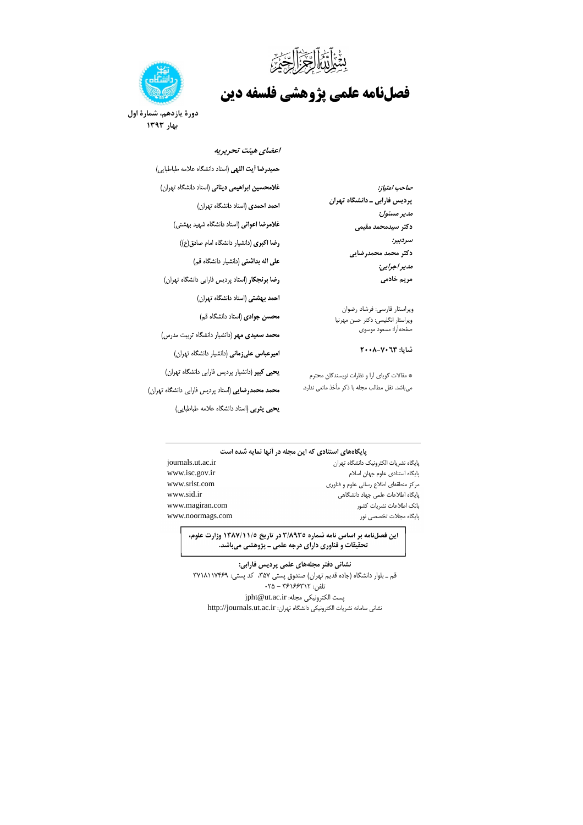بِيَّعْهُٗۤأَوَّنَّ ٱلرَّجْزَۥۢۤٳلَّلَّىٰٓءَ

# **فصلنامه علمي پژوهشي فلسفه دين**



**دورة یازدهم، شمارة اول 3131بهار** 

#### **اعضاي هيئت تحريريه**

|                                                           | حميدرضا أيت اللهى (استاد دانشگاه علامه طباطبايي)               |
|-----------------------------------------------------------|----------------------------------------------------------------|
| صاحب امتياز:                                              | غلامحسین ابراهیمی دینانی (استاد دانشگاه تهران)                 |
| پردیس فارابی ـ دانشگاه تهران                              | احمد احمدی (استاد دانشگاه تهران)                               |
| مدير مسئول:                                               | <b>غلامرضا اعوانی</b> (استاد دانشگاه شهید بهشتی)               |
| دكتر سيدمحمد مقيمى                                        |                                                                |
| سردبير:                                                   | رضا اکبری (دانشیار دانشگاه امام صادق(ع))                       |
| دكتر محمد محمدرضايى                                       | <mark>علی اله بداشتی</mark> (دانشیار دانشگاه قم)               |
| مدير اجرايي:                                              |                                                                |
| مریم خادمی                                                | رضا برنجكار (استاد پرديس فارابي دانشگاه تهران)                 |
|                                                           | احم <b>د بهشتی</b> (استاد دانشگاه تهران)                       |
| ويراستار فارسي: فرشاد رضوان                               | محسن جوادی (استاد دانشگاه قم)                                  |
| ويراستار انگليسي: دكتر حسن مهرنيا<br>صفحهآرا: مسعود موسوى |                                                                |
|                                                           | <mark>محمد سعیدی مهر</mark> (دانشیار دانشگاه تربیت مدرس)       |
| شاپا: ۲۰۰۳–۲۰۰۸                                           | <b>امیرعباس علیزمانی</b> (دانشیار دانشگاه تهران)               |
| * مقالات گویای آرا و نظرات نویسندگان محترم                | <b>یحیی کبیر</b> (دانشیار پردیس فارابی دانشگاه تهران)          |
| میباشد. نقل مطالب مجله با ذکر مأخذ مانعی ندارد.           | <mark>محمد محمدرضایی</mark> (استاد پردیس فارابی دانشگاه تهران) |
|                                                           | يحيى يثربي (استاد دانشگاه علامه طباطبايي)                      |

#### **پايگاههاي استنادي كه اين مجله در آنها نمايه شده است**

| journals.ut.ac.ir | بايگاه نشريات الكترونيک دانشگاه تهران  |
|-------------------|----------------------------------------|
| www.isc.gov.ir    | یایگاه استنادی علوم جهان اسلام         |
| www.srlst.com     | مرکز منطقهای اطلاع رسانی علوم و فناوری |
| www.sid.ir        | یایگاه اطلاعات علمی جهاد دانشگاهی      |
| www.magiran.com   | بانک اطلاعات نشریات کشور               |
| www.noormags.com  | یایگاه مجلات تخصصی نور                 |
|                   |                                        |

**اين فصلنامه بر اساس نامه شماره 3/8935 در تاريخ 1387/11/5 وزارت علوم، تحقيقات و فناوري داراي درجه علمي ـ پژوهشي ميباشد.**

**نشاني دفتر مجلههاي علمي پرديس فارابي:** قم ـ بلوار دانشگاه (جاده قديم تهران) صندوق پستي ۳۵۷، د پستي: ۳۷۱۸۱۱۷۴۶۹ . ۰۲۵ - نافن: ۲۵۱۶۶۳۱۲ - ۲۵<br>تلفن: ۲۴۱۶۶۳۱۲ - ۲۵ jpht@ut.ac.ir :بست الكترونيكي مجله: نشاني سامانه نشريات الكترونيكي دانشگاه تهران: http://journals.ut.ac.ir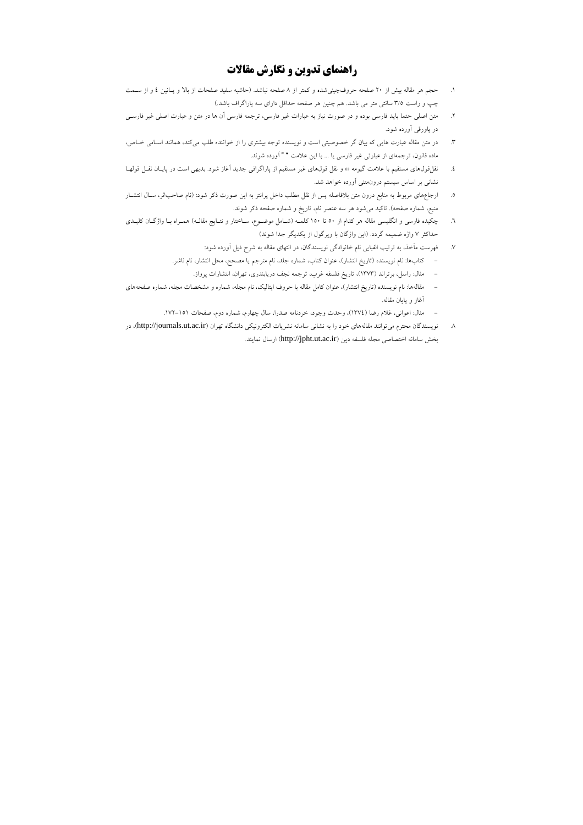### **راهنماي تدوي ن و نگارش مقالات**

- 1. حجم هر مقاله بيش از ٢٠ صفحه حروف چيني شده و كمتر از ٨ صفحه نباشد. (حاشيه سفيد صفحات از بالا و پـائين ٤ و از سـمت 5/3چپ و راست سانتي متر مي باشد. هم چنين هر صفحه حداقل داراي سه پاراگراف باشد.)
- 2. متن اصلي حتما بايد فارسي بوده و در صورت نياز به عبارات غير فارسي، ترجمه فارسي آن ها در متن و عبارت اصلي غير فارسـي در پاورقي آورده شود.
- 3. در متن مقاله عبارت هايي كه بيان گر خصوصيتي است و نويسنده توجه بيشتري را از خواننده طلب ميكند، همانند اسـامي خـاص، ماده قانون، ترجمهاي از عبارتي غير فارسي يا ... با اين علامت " " آورده شوند.
- 4. قول نقل هاي مستقيم با علامت گيومه و نقل قول«» هاي غير مستقيم از پاراگرافي جديد آغاز شود. بديهي است در پايـان نقـل قولهـا نشاني بر اساس سيستم درونمتني آورده خواهد شد.
- 5. ارجاعهاي مربوط به منابع درون متن بلافاصله پس از نقل مطلب داخل پرانتز به اين صورت ذكر شود: (نام صاحباثر، سـال انتشـار منبع، شماره صفحه). تاكيد ميشود هر سه عنصر نام، تاريخ و شماره صفحه ذكر شوند.
- 6. چكيده فارسي و انگليسي مقاله هر كدام از 150تا 50 كلمـه (شـامل موضـوع، سـاختار و نتـايج مقالـه) همـراه بـا واژگـان كليـدي حداكثر 7 واژه ضميمه گردد. (اين واژگان با ويرگول از يكديگر جدا شوند)
	- 7. فهرست مĤخذ، به ترتيب الفبايي نام خانوادگي نويسندگان، در انتهاي مقاله به شرح ذيل آورده شود:
	- كتابها: نام نويسنده (تاريخ انتشار)، عنوان كتاب، شماره جلد، نام مترجم يا مصحح، محل انتشار، نام ناشر.
		- مثال: راسل، برتراند (1373)، تاريخ فلسفه غرب، ترجمه نجف دريابندري، تهران، انتشارات پرواز.
- مقالهها: نام نويسنده (تاريخ انتشار)، عنوان كامل مقاله با حروف ايتاليك، نام مجله، شماره و مشخصات مجله، شماره صفحههاى آغاز و پايان مقاله.
	- مثال: اعواني، غلام رضا (1374 )، وحدت وجود، خردنامه صدرا، سال چهارم، شماره دوم، صفحات . 151-172
- 8. توانند مقاله نويسندگان محترم مي هاي خود را به نشاني سامانه نشريات الكترونيكي دانشگاه تهران (ir.ac.ut.journals://http در )، بخش سامانه اختصاصي مجله فلسفه دين (http://jpht.ut.ac.ir) ارسال نمايند.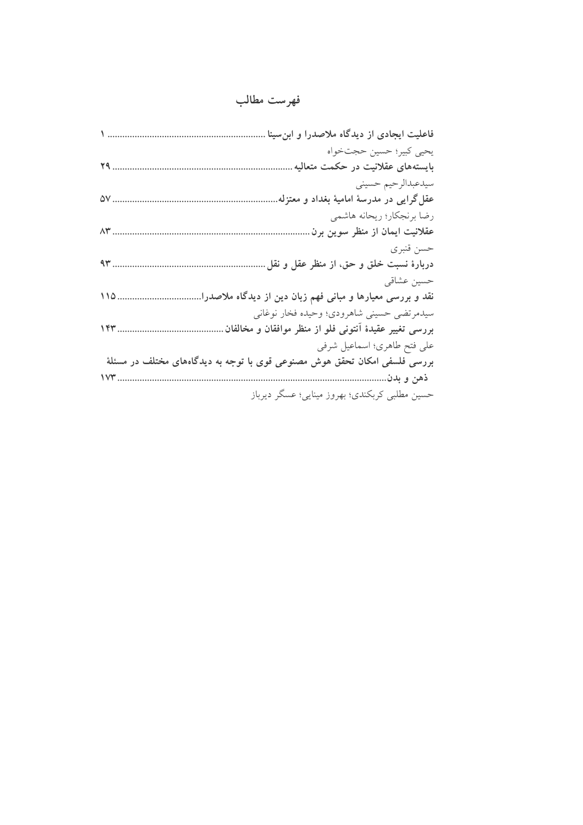## **فهرست مطالب**

| فاعلیت ایجادی از دیدگاه ملاصدرا و ابنٍسینا .                               |
|----------------------------------------------------------------------------|
| يحيى كبير؛ حسين حجتخواه                                                    |
| بایستههای عقلانیت در حکمت متعالیه                                          |
| سيدعبدالرحيم حسيني                                                         |
| عقل گرایی در مدرسهٔ امامیهٔ بغداد و معتزله                                 |
| رضا برنجكار؛ ريحانه هاشمي                                                  |
| عقلانیت ایمان از منظر سوین برن                                             |
| حسن قنبري                                                                  |
| 94<br>دربارهٔ نسبت خلق و حق، از منظر عقل و نقل ِ                           |
| حسين عشاقي                                                                 |
| نقد و بررسی معیارها و مبانی فهم زبان دین از دیدگاه ملاصدرا.<br>$110$       |
| سیدمرتضی حسینی شاهرودی؛ وحیده فخار نوغانی                                  |
| 147<br>بررسی تغییر عقیدهٔ آنتونی فلو از منظر موافقان و مخالفان             |
| على فتح طاهري؛ اسماعيل شرفي                                                |
| بررسی فلسفی امکان تحقق هوش مصنوعی قوی با توجه به دیدگاههای مختلف در مسئلهٔ |
| <b>IVM</b><br>ذهن و بدن                                                    |
| حسین مطلبی کربکندی؛ بهروز مینایی؛ عسگر دیرباز                              |
|                                                                            |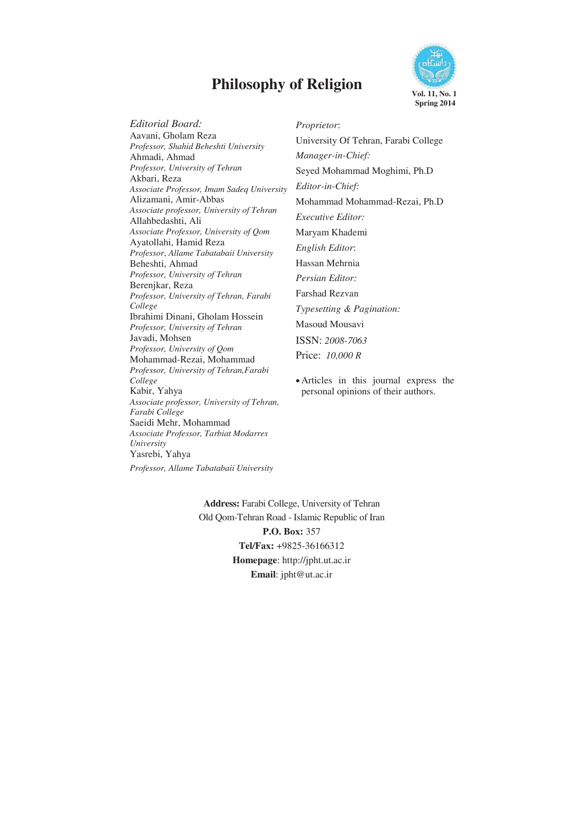# **Philosophy of Religion** Vol. 11, No. 1



*Editorial Board:* Aavani, Gholam Reza *Professor, Shahid Beheshti University*  Ahmadi, Ahmad *Professor, University of Tehran* Akbari, Reza *Associate Professor, Imam Sadeq University*  Alizamani, Amir-Abbas *Associate professor, University of Tehran* Allahbedashti, Ali *Associate Professor, University of Qom* Ayatollahi, Hamid Reza *Professor*, *Allame Tabatabaii University* Beheshti, Ahmad *Professor, University of Tehran* Berenjkar, Reza *Professor, University of Tehran, Farabi College*  Ibrahimi Dinani, Gholam Hossein *Professor, University of Tehran* Javadi, Mohsen *Professor, University of Qom* Mohammad-Rezai, Mohammad *Professor, University of Tehran,Farabi College* Kabir, Yahya *Associate professor, University of Tehran, Farabi College* Saeidi Mehr, Mohammad *Associate Professor, Tarbiat Modarres University*  Yasrebi, Yahya

*Professor, Allame Tabatabaii University*

*Proprietor*: University Of Tehran, Farabi College *Manager-in-Chief:*  Seyed Mohammad Moghimi, Ph.D *Editor-in-Chief:*  Mohammad Mohammad-Rezai, Ph.D *Executive Editor:*  Maryam Khademi *English Editor*: Hassan Mehrnia *Persian Editor:*  Farshad Rezvan *Typesetting & Pagination:*  Masoud Mousavi ISSN: *2008-7063*  Price: *10,000 R* 

• Articles in this journal express the personal opinions of their authors.

**Address:** Farabi College, University of Tehran Old Qom-Tehran Road - Islamic Republic of Iran

**P.O. Box:** 357 **Tel***/***Fax:** +9825-36166312 **Homepage**: http://jpht.ut.ac.ir **Email**: jpht@ut.ac.ir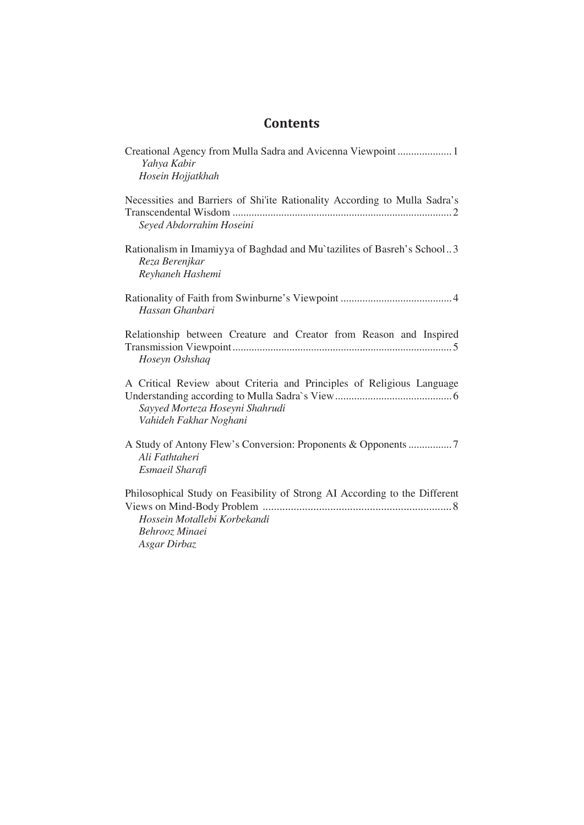### **Contents**

| Creational Agency from Mulla Sadra and Avicenna Viewpoint1<br>Yahya Kabir                                                                    |
|----------------------------------------------------------------------------------------------------------------------------------------------|
| Hosein Hojjatkhah                                                                                                                            |
| Necessities and Barriers of Shi'ite Rationality According to Mulla Sadra's<br>Seyed Abdorrahim Hoseini                                       |
| Rationalism in Imamiyya of Baghdad and Mu`tazilites of Basreh's School3<br>Reza Berenjkar<br>Reyhaneh Hashemi                                |
| Hassan Ghanbari                                                                                                                              |
| Relationship between Creature and Creator from Reason and Inspired<br>Hoseyn Oshshaq                                                         |
| A Critical Review about Criteria and Principles of Religious Language<br>Sayyed Morteza Hoseyni Shahrudi<br>Vahideh Fakhar Noghani           |
| Ali Fathtaheri<br>Esmaeil Sharafi                                                                                                            |
| Philosophical Study on Feasibility of Strong AI According to the Different<br>Hossein Motallebi Korbekandi<br>Behrooz Minaei<br>Asgar Dirbaz |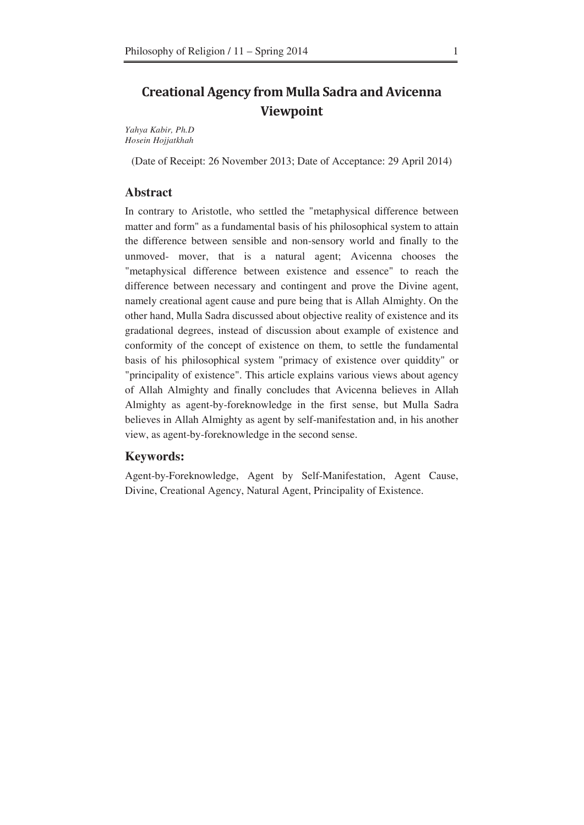### **Creational Agency from Mulla Sadra and Avicenna Viewpoint**

*Yahya Kabir, Ph.D Hosein Hojjatkhah* 

(Date of Receipt: 26 November 2013; Date of Acceptance: 29 April 2014)

#### **Abstract**

In contrary to Aristotle, who settled the "metaphysical difference between matter and form" as a fundamental basis of his philosophical system to attain the difference between sensible and non-sensory world and finally to the unmoved- mover, that is a natural agent; Avicenna chooses the "metaphysical difference between existence and essence" to reach the difference between necessary and contingent and prove the Divine agent, namely creational agent cause and pure being that is Allah Almighty. On the other hand, Mulla Sadra discussed about objective reality of existence and its gradational degrees, instead of discussion about example of existence and conformity of the concept of existence on them, to settle the fundamental basis of his philosophical system "primacy of existence over quiddity" or "principality of existence". This article explains various views about agency of Allah Almighty and finally concludes that Avicenna believes in Allah Almighty as agent-by-foreknowledge in the first sense, but Mulla Sadra believes in Allah Almighty as agent by self-manifestation and, in his another view, as agent-by-foreknowledge in the second sense.

#### **Keywords:**

Agent-by-Foreknowledge, Agent by Self-Manifestation, Agent Cause, Divine, Creational Agency, Natural Agent, Principality of Existence.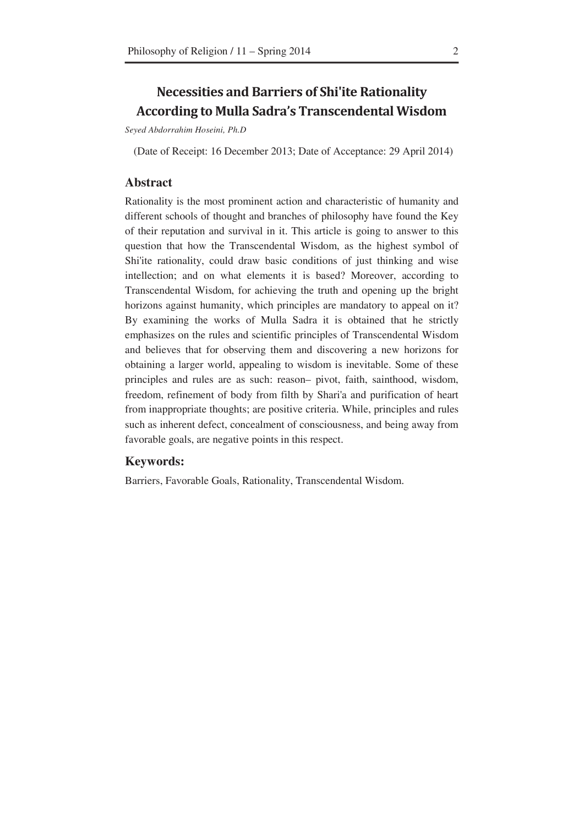### **Necessities and Barriers of Shi'ite Rationality According to Mulla Sadra's Transcendental Wisdom**

*Seyed Abdorrahim Hoseini, Ph.D* 

(Date of Receipt: 16 December 2013; Date of Acceptance: 29 April 2014)

#### **Abstract**

Rationality is the most prominent action and characteristic of humanity and different schools of thought and branches of philosophy have found the Key of their reputation and survival in it. This article is going to answer to this question that how the Transcendental Wisdom, as the highest symbol of Shi'ite rationality, could draw basic conditions of just thinking and wise intellection; and on what elements it is based? Moreover, according to Transcendental Wisdom, for achieving the truth and opening up the bright horizons against humanity, which principles are mandatory to appeal on it? By examining the works of Mulla Sadra it is obtained that he strictly emphasizes on the rules and scientific principles of Transcendental Wisdom and believes that for observing them and discovering a new horizons for obtaining a larger world, appealing to wisdom is inevitable. Some of these principles and rules are as such: reason– pivot, faith, sainthood, wisdom, freedom, refinement of body from filth by Shari'a and purification of heart from inappropriate thoughts; are positive criteria. While, principles and rules such as inherent defect, concealment of consciousness, and being away from favorable goals, are negative points in this respect.

#### **Keywords:**

Barriers, Favorable Goals, Rationality, Transcendental Wisdom.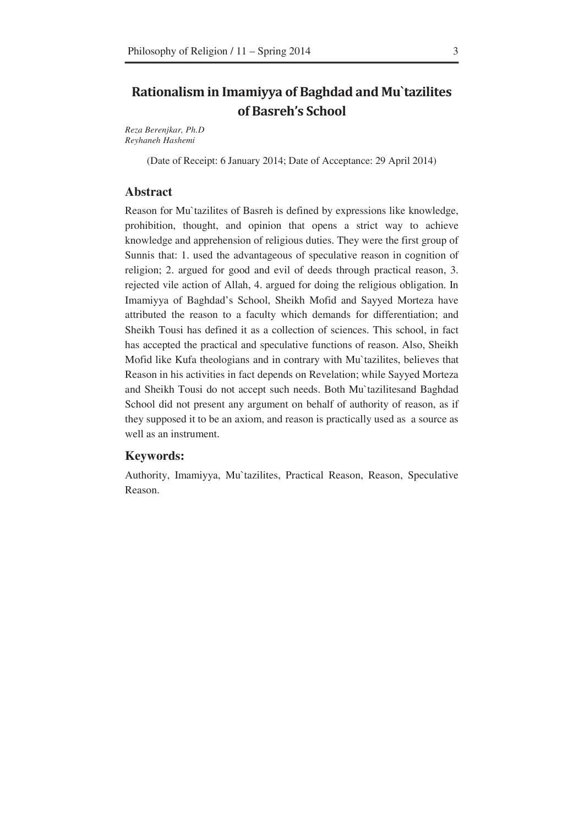### **Rationalism in Imamiyya of Baghdad and Mu`tazilites** of Basreh's School

*Reza Berenjkar, Ph.D Reyhaneh Hashemi* 

(Date of Receipt: 6 January 2014; Date of Acceptance: 29 April 2014)

#### **Abstract**

Reason for Mu`tazilites of Basreh is defined by expressions like knowledge, prohibition, thought, and opinion that opens a strict way to achieve knowledge and apprehension of religious duties. They were the first group of Sunnis that: 1. used the advantageous of speculative reason in cognition of religion; 2. argued for good and evil of deeds through practical reason, 3. rejected vile action of Allah, 4. argued for doing the religious obligation. In Imamiyya of Baghdad's School, Sheikh Mofid and Sayyed Morteza have attributed the reason to a faculty which demands for differentiation; and Sheikh Tousi has defined it as a collection of sciences. This school, in fact has accepted the practical and speculative functions of reason. Also, Sheikh Mofid like Kufa theologians and in contrary with Mu`tazilites, believes that Reason in his activities in fact depends on Revelation; while Sayyed Morteza and Sheikh Tousi do not accept such needs. Both Mu`tazilitesand Baghdad School did not present any argument on behalf of authority of reason, as if they supposed it to be an axiom, and reason is practically used as a source as well as an instrument.

#### **Keywords:**

Authority, Imamiyya, Mu`tazilites, Practical Reason, Reason, Speculative Reason.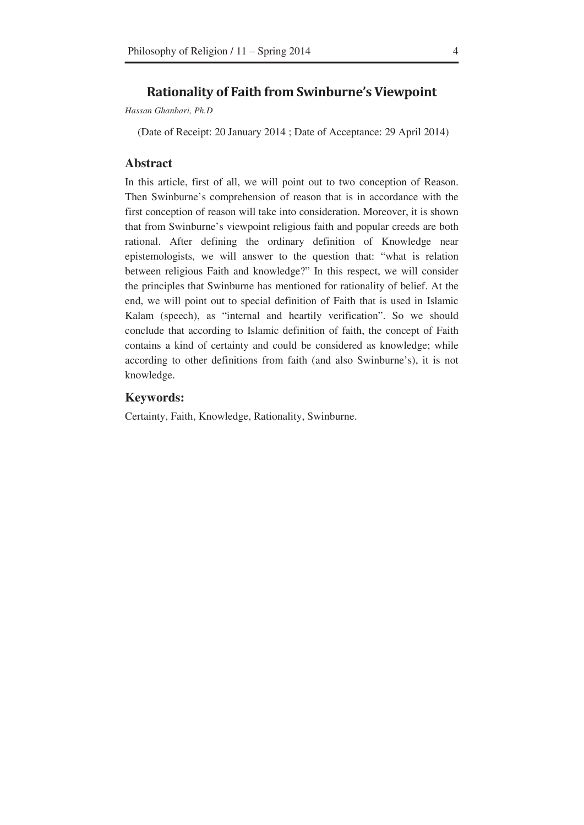### **Rationality of Faith from Swinburne's Viewpoint**

*Hassan Ghanbari, Ph.D* 

(Date of Receipt: 20 January 2014 ; Date of Acceptance: 29 April 2014)

#### **Abstract**

In this article, first of all, we will point out to two conception of Reason. Then Swinburne's comprehension of reason that is in accordance with the first conception of reason will take into consideration. Moreover, it is shown that from Swinburne's viewpoint religious faith and popular creeds are both rational. After defining the ordinary definition of Knowledge near epistemologists, we will answer to the question that: "what is relation between religious Faith and knowledge?" In this respect, we will consider the principles that Swinburne has mentioned for rationality of belief. At the end, we will point out to special definition of Faith that is used in Islamic Kalam (speech), as "internal and heartily verification". So we should conclude that according to Islamic definition of faith, the concept of Faith contains a kind of certainty and could be considered as knowledge; while according to other definitions from faith (and also Swinburne's), it is not knowledge.

#### **Keywords:**

Certainty, Faith, Knowledge, Rationality, Swinburne.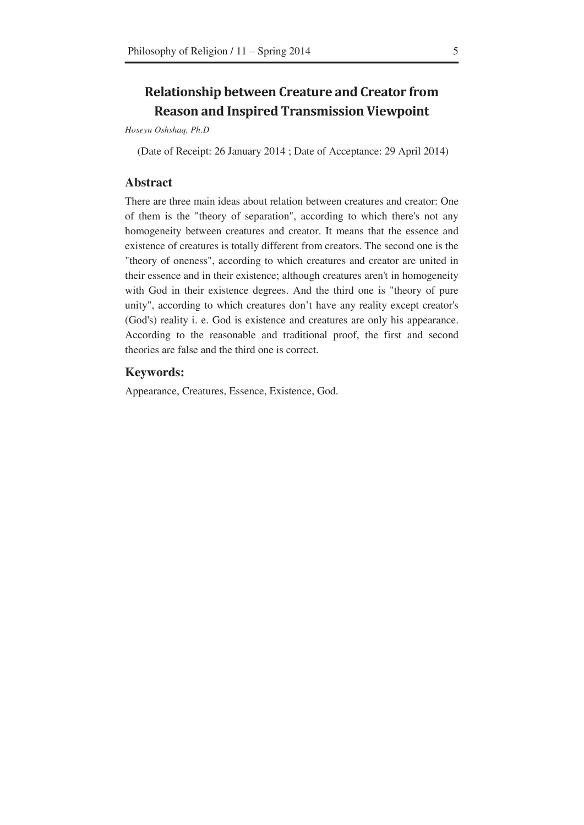### **Relationship between Creature and Creator from Reason and Inspired Transmission Viewpoint**

*Hoseyn Oshshaq, Ph.D* 

(Date of Receipt: 26 January 2014 ; Date of Acceptance: 29 April 2014)

#### **Abstract**

There are three main ideas about relation between creatures and creator: One of them is the "theory of separation", according to which there's not any homogeneity between creatures and creator. It means that the essence and existence of creatures is totally different from creators. The second one is the "theory of oneness", according to which creatures and creator are united in their essence and in their existence; although creatures aren't in homogeneity with God in their existence degrees. And the third one is "theory of pure unity", according to which creatures don't have any reality except creator's (God's) reality i. e. God is existence and creatures are only his appearance. According to the reasonable and traditional proof, the first and second theories are false and the third one is correct.

#### **Keywords:**

Appearance, Creatures, Essence, Existence, God.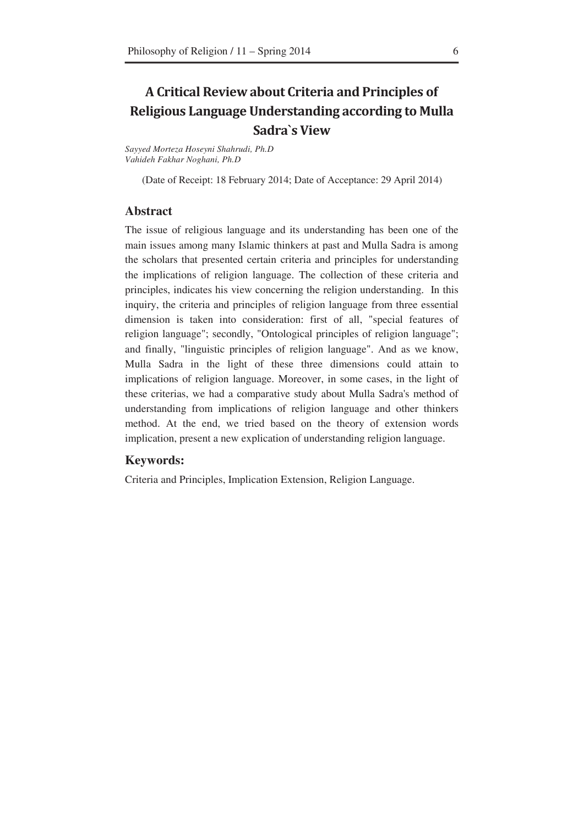## A Critical Review about Criteria and Principles of Religious Language Understanding according to Mulla Sadra's View

*Sayyed Morteza Hoseyni Shahrudi, Ph.D Vahideh Fakhar Noghani, Ph.D* 

(Date of Receipt: 18 February 2014; Date of Acceptance: 29 April 2014)

#### **Abstract**

The issue of religious language and its understanding has been one of the main issues among many Islamic thinkers at past and Mulla Sadra is among the scholars that presented certain criteria and principles for understanding the implications of religion language. The collection of these criteria and principles, indicates his view concerning the religion understanding. In this inquiry, the criteria and principles of religion language from three essential dimension is taken into consideration: first of all, "special features of religion language"; secondly, "Ontological principles of religion language"; and finally, "linguistic principles of religion language". And as we know, Mulla Sadra in the light of these three dimensions could attain to implications of religion language. Moreover, in some cases, in the light of these criterias, we had a comparative study about Mulla Sadra's method of understanding from implications of religion language and other thinkers method. At the end, we tried based on the theory of extension words implication, present a new explication of understanding religion language.

#### **Keywords:**

Criteria and Principles, Implication Extension, Religion Language.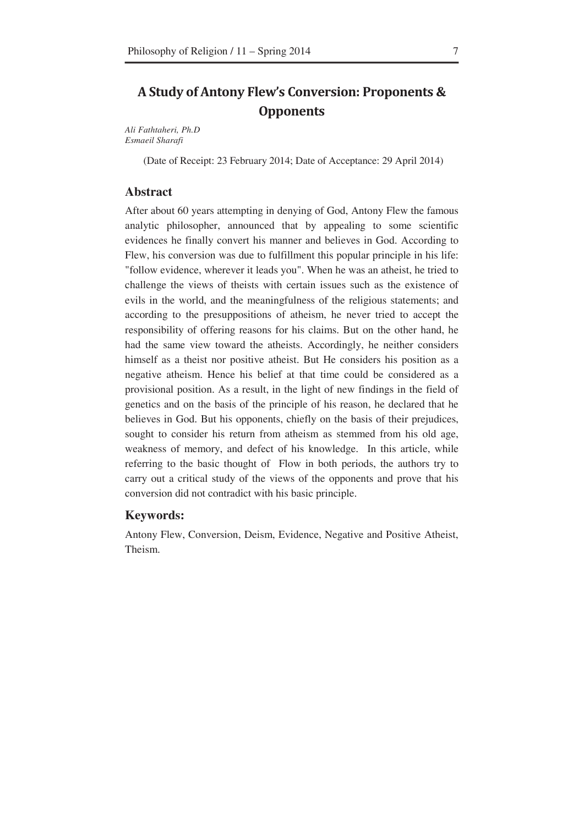### A Study of Antony Flew's Conversion: Proponents & **Opponents**

*Ali Fathtaheri, Ph.D Esmaeil Sharafi* 

(Date of Receipt: 23 February 2014; Date of Acceptance: 29 April 2014)

#### **Abstract**

After about 60 years attempting in denying of God, Antony Flew the famous analytic philosopher, announced that by appealing to some scientific evidences he finally convert his manner and believes in God. According to Flew, his conversion was due to fulfillment this popular principle in his life: "follow evidence, wherever it leads you". When he was an atheist, he tried to challenge the views of theists with certain issues such as the existence of evils in the world, and the meaningfulness of the religious statements; and according to the presuppositions of atheism, he never tried to accept the responsibility of offering reasons for his claims. But on the other hand, he had the same view toward the atheists. Accordingly, he neither considers himself as a theist nor positive atheist. But He considers his position as a negative atheism. Hence his belief at that time could be considered as a provisional position. As a result, in the light of new findings in the field of genetics and on the basis of the principle of his reason, he declared that he believes in God. But his opponents, chiefly on the basis of their prejudices, sought to consider his return from atheism as stemmed from his old age, weakness of memory, and defect of his knowledge. In this article, while referring to the basic thought of Flow in both periods, the authors try to carry out a critical study of the views of the opponents and prove that his conversion did not contradict with his basic principle.

#### **Keywords:**

Antony Flew, Conversion, Deism, Evidence, Negative and Positive Atheist, Theism.